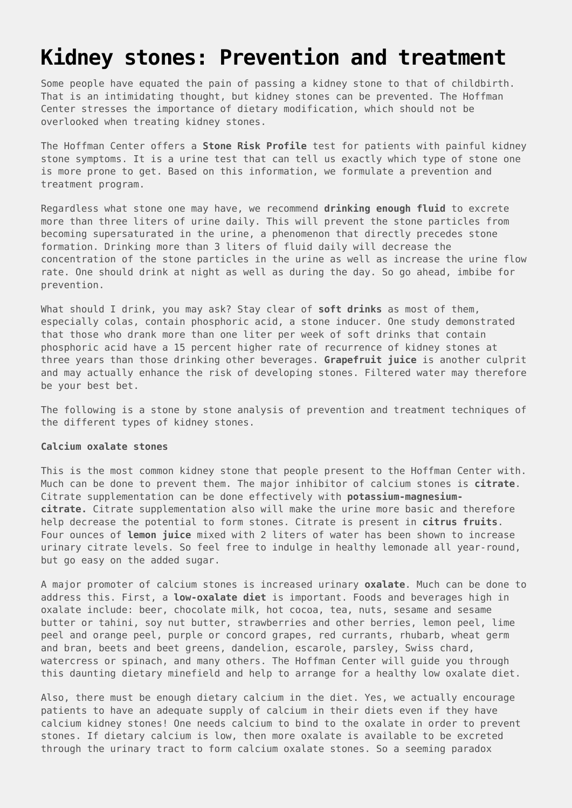# **[Kidney stones: Prevention and treatment](https://drhoffman.com/article/kidney-stones-treatment-and-prevention-2/)**

Some people have equated the pain of passing a kidney stone to that of childbirth. That is an intimidating thought, but kidney stones can be prevented. The Hoffman Center stresses the importance of dietary modification, which should not be overlooked when treating kidney stones.

The Hoffman Center offers a **Stone Risk Profile** test for patients with painful kidney stone symptoms. It is a urine test that can tell us exactly which type of stone one is more prone to get. Based on this information, we formulate a prevention and treatment program.

Regardless what stone one may have, we recommend **drinking enough fluid** to excrete more than three liters of urine daily. This will prevent the stone particles from becoming supersaturated in the urine, a phenomenon that directly precedes stone formation. Drinking more than 3 liters of fluid daily will decrease the concentration of the stone particles in the urine as well as increase the urine flow rate. One should drink at night as well as during the day. So go ahead, imbibe for prevention.

What should I drink, you may ask? Stay clear of **soft drinks** as most of them, especially colas, contain phosphoric acid, a stone inducer. One study demonstrated that those who drank more than one liter per week of soft drinks that contain phosphoric acid have a 15 percent higher rate of recurrence of kidney stones at three years than those drinking other beverages. **Grapefruit juice** is another culprit and may actually enhance the risk of developing stones. Filtered water may therefore be your best bet.

The following is a stone by stone analysis of prevention and treatment techniques of the different types of kidney stones.

#### **Calcium oxalate stones**

This is the most common kidney stone that people present to the Hoffman Center with. Much can be done to prevent them. The major inhibitor of calcium stones is **citrate**. Citrate supplementation can be done effectively with **potassium-magnesiumcitrate.** Citrate supplementation also will make the urine more basic and therefore help decrease the potential to form stones. Citrate is present in **citrus fruits**. Four ounces of **lemon juice** mixed with 2 liters of water has been shown to increase urinary citrate levels. So feel free to indulge in healthy lemonade all year-round, but go easy on the added sugar.

A major promoter of calcium stones is increased urinary **oxalate**. Much can be done to address this. First, a **low-oxalate diet** is important. Foods and beverages high in oxalate include: beer, chocolate milk, hot cocoa, tea, nuts, sesame and sesame butter or tahini, soy nut butter, strawberries and other berries, lemon peel, lime peel and orange peel, purple or concord grapes, red currants, rhubarb, wheat germ and bran, beets and beet greens, dandelion, escarole, parsley, Swiss chard, watercress or spinach, and many others. The Hoffman Center will guide you through this daunting dietary minefield and help to arrange for a healthy low oxalate diet.

Also, there must be enough dietary calcium in the diet. Yes, we actually encourage patients to have an adequate supply of calcium in their diets even if they have calcium kidney stones! One needs calcium to bind to the oxalate in order to prevent stones. If dietary calcium is low, then more oxalate is available to be excreted through the urinary tract to form calcium oxalate stones. So a seeming paradox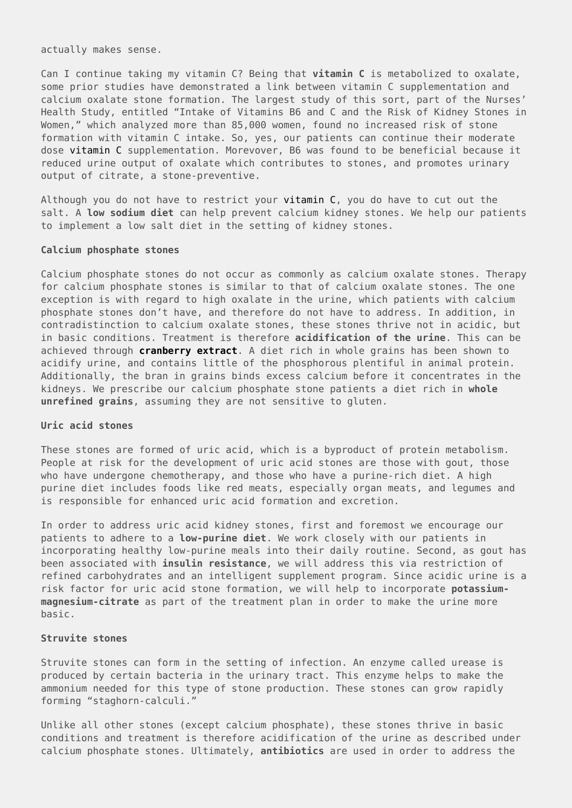actually makes sense.

Can I continue taking my vitamin C? Being that **vitamin C** is metabolized to oxalate, some prior studies have demonstrated a link between vitamin C supplementation and calcium oxalate stone formation. The largest study of this sort, part of the Nurses' Health Study, entitled "Intake of Vitamins B6 and C and the Risk of Kidney Stones in Women," which analyzed more than 85,000 women, found no increased risk of stone formation with vitamin C intake. So, yes, our patients can continue their moderate dose [vitamin C](http://www.hoffmancenter.com/page.cfm/280) supplementation. Morevover, B6 was found to be beneficial because it reduced urine output of oxalate which contributes to stones, and promotes urinary output of citrate, a stone-preventive.

Although you do not have to restrict your [vitamin C,](http://www.hoffmancenter.com/page.cfm/280) you do have to cut out the salt. A **low sodium diet** can help prevent calcium kidney stones. We help our patients to implement a low salt diet in the setting of kidney stones.

#### **Calcium phosphate stones**

Calcium phosphate stones do not occur as commonly as calcium oxalate stones. Therapy for calcium phosphate stones is similar to that of calcium oxalate stones. The one exception is with regard to high oxalate in the urine, which patients with calcium phosphate stones don't have, and therefore do not have to address. In addition, in contradistinction to calcium oxalate stones, these stones thrive not in acidic, but in basic conditions. Treatment is therefore **acidification of the urine**. This can be achieved through **[cranberry extract](http://www.hoffmancenter.com/page.cfm/268)**. A diet rich in whole grains has been shown to acidify urine, and contains little of the phosphorous plentiful in animal protein. Additionally, the bran in grains binds excess calcium before it concentrates in the kidneys. We prescribe our calcium phosphate stone patients a diet rich in **whole unrefined grains**, assuming they are not sensitive to gluten.

## **Uric acid stones**

These stones are formed of uric acid, which is a byproduct of protein metabolism. People at risk for the development of uric acid stones are those with gout, those who have undergone chemotherapy, and those who have a purine-rich diet. A high purine diet includes foods like red meats, especially organ meats, and legumes and is responsible for enhanced uric acid formation and excretion.

In order to address uric acid kidney stones, first and foremost we encourage our patients to adhere to a **low-purine diet**. We work closely with our patients in incorporating healthy low-purine meals into their daily routine. Second, as gout has been associated with **insulin resistance**, we will address this via restriction of refined carbohydrates and an intelligent supplement program. Since acidic urine is a risk factor for uric acid stone formation, we will help to incorporate **potassiummagnesium-citrate** as part of the treatment plan in order to make the urine more basic.

#### **Struvite stones**

Struvite stones can form in the setting of infection. An enzyme called urease is produced by certain bacteria in the urinary tract. This enzyme helps to make the ammonium needed for this type of stone production. These stones can grow rapidly forming "staghorn-calculi."

Unlike all other stones (except calcium phosphate), these stones thrive in basic conditions and treatment is therefore acidification of the urine as described under calcium phosphate stones. Ultimately, **antibiotics** are used in order to address the